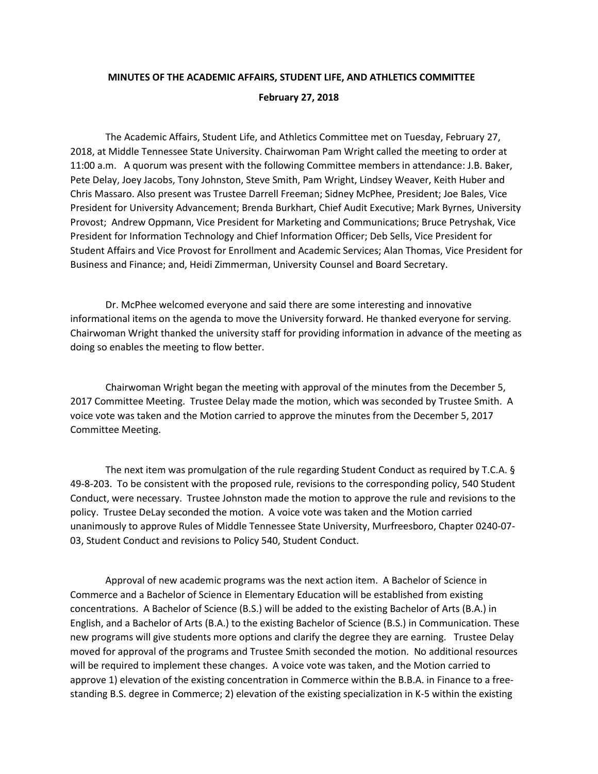## **MINUTES OF THE ACADEMIC AFFAIRS, STUDENT LIFE, AND ATHLETICS COMMITTEE February 27, 2018**

The Academic Affairs, Student Life, and Athletics Committee met on Tuesday, February 27, 2018, at Middle Tennessee State University. Chairwoman Pam Wright called the meeting to order at 11:00 a.m. A quorum was present with the following Committee members in attendance: J.B. Baker, Pete Delay, Joey Jacobs, Tony Johnston, Steve Smith, Pam Wright, Lindsey Weaver, Keith Huber and Chris Massaro. Also present was Trustee Darrell Freeman; Sidney McPhee, President; Joe Bales, Vice President for University Advancement; Brenda Burkhart, Chief Audit Executive; Mark Byrnes, University Provost; Andrew Oppmann, Vice President for Marketing and Communications; Bruce Petryshak, Vice President for Information Technology and Chief Information Officer; Deb Sells, Vice President for Student Affairs and Vice Provost for Enrollment and Academic Services; Alan Thomas, Vice President for Business and Finance; and, Heidi Zimmerman, University Counsel and Board Secretary.

Dr. McPhee welcomed everyone and said there are some interesting and innovative informational items on the agenda to move the University forward. He thanked everyone for serving. Chairwoman Wright thanked the university staff for providing information in advance of the meeting as doing so enables the meeting to flow better.

Chairwoman Wright began the meeting with approval of the minutes from the December 5, 2017 Committee Meeting. Trustee Delay made the motion, which was seconded by Trustee Smith. A voice vote was taken and the Motion carried to approve the minutes from the December 5, 2017 Committee Meeting.

The next item was promulgation of the rule regarding Student Conduct as required by T.C.A. § 49-8-203. To be consistent with the proposed rule, revisions to the corresponding policy, 540 Student Conduct, were necessary. Trustee Johnston made the motion to approve the rule and revisions to the policy. Trustee DeLay seconded the motion. A voice vote was taken and the Motion carried unanimously to approve Rules of Middle Tennessee State University, Murfreesboro, Chapter 0240-07- 03, Student Conduct and revisions to Policy 540, Student Conduct.

Approval of new academic programs was the next action item. A Bachelor of Science in Commerce and a Bachelor of Science in Elementary Education will be established from existing concentrations. A Bachelor of Science (B.S.) will be added to the existing Bachelor of Arts (B.A.) in English, and a Bachelor of Arts (B.A.) to the existing Bachelor of Science (B.S.) in Communication. These new programs will give students more options and clarify the degree they are earning. Trustee Delay moved for approval of the programs and Trustee Smith seconded the motion. No additional resources will be required to implement these changes. A voice vote was taken, and the Motion carried to approve 1) elevation of the existing concentration in Commerce within the B.B.A. in Finance to a freestanding B.S. degree in Commerce; 2) elevation of the existing specialization in K-5 within the existing